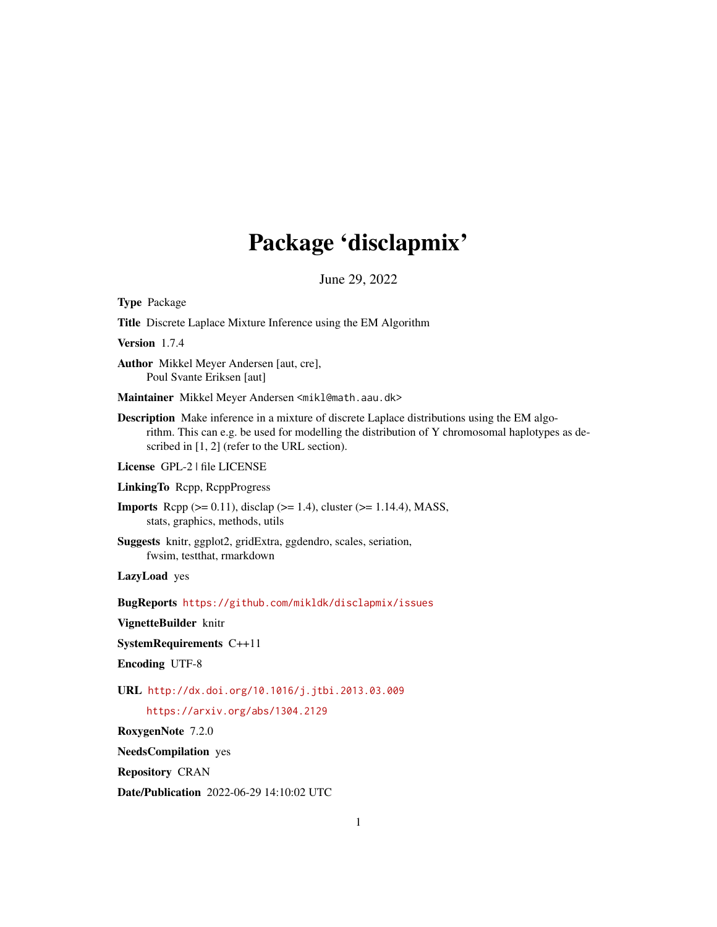# Package 'disclapmix'

June 29, 2022

<span id="page-0-0"></span>Type Package

Title Discrete Laplace Mixture Inference using the EM Algorithm

Version 1.7.4

Author Mikkel Meyer Andersen [aut, cre], Poul Svante Eriksen [aut]

Maintainer Mikkel Meyer Andersen <mikl@math.aau.dk>

Description Make inference in a mixture of discrete Laplace distributions using the EM algorithm. This can e.g. be used for modelling the distribution of Y chromosomal haplotypes as described in [1, 2] (refer to the URL section).

License GPL-2 | file LICENSE

LinkingTo Rcpp, RcppProgress

**Imports** Rcpp ( $>= 0.11$ ), disclap ( $>= 1.4$ ), cluster ( $>= 1.14.4$ ), MASS, stats, graphics, methods, utils

Suggests knitr, ggplot2, gridExtra, ggdendro, scales, seriation, fwsim, testthat, rmarkdown

LazyLoad yes

BugReports <https://github.com/mikldk/disclapmix/issues>

VignetteBuilder knitr

SystemRequirements C++11

Encoding UTF-8

URL <http://dx.doi.org/10.1016/j.jtbi.2013.03.009>

<https://arxiv.org/abs/1304.2129>

RoxygenNote 7.2.0

NeedsCompilation yes

Repository CRAN

Date/Publication 2022-06-29 14:10:02 UTC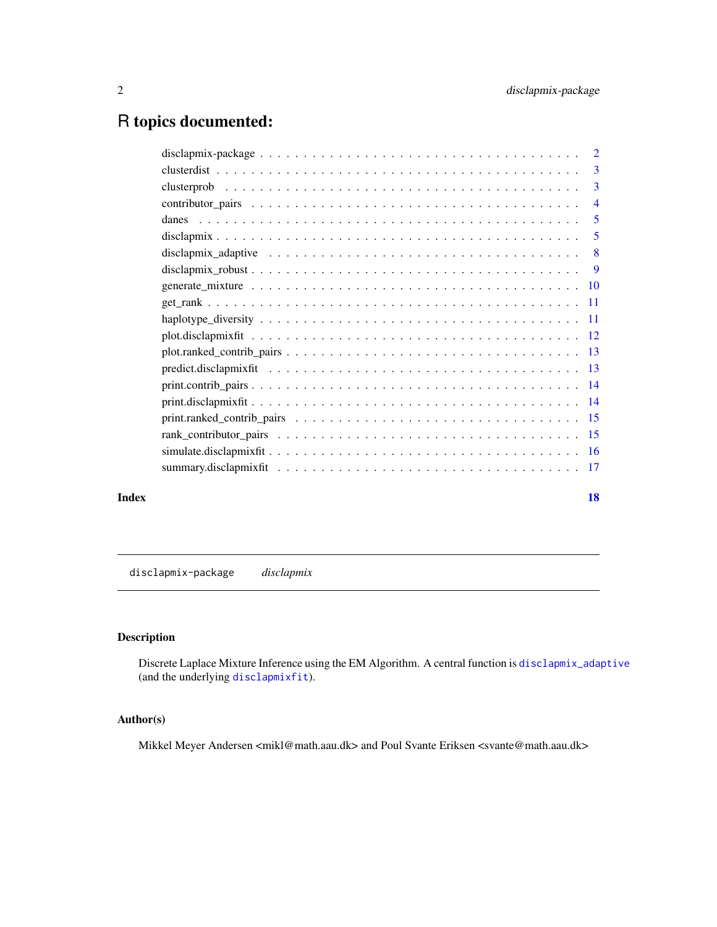## <span id="page-1-0"></span>R topics documented:

|       | 3              |
|-------|----------------|
|       | 3              |
|       | $\overline{4}$ |
|       | $\overline{5}$ |
|       | 5              |
|       |                |
|       |                |
|       |                |
|       |                |
|       |                |
|       |                |
|       |                |
|       |                |
|       |                |
|       |                |
|       |                |
|       |                |
|       |                |
|       |                |
| Index | <b>18</b>      |

<span id="page-1-1"></span>disclapmix-package *disclapmix*

#### Description

Discrete Laplace Mixture Inference using the EM Algorithm. A central function is [disclapmix\\_adaptive](#page-7-1) (and the underlying [disclapmixfit](#page-4-1)).

#### Author(s)

Mikkel Meyer Andersen <mikl@math.aau.dk> and Poul Svante Eriksen <svante@math.aau.dk>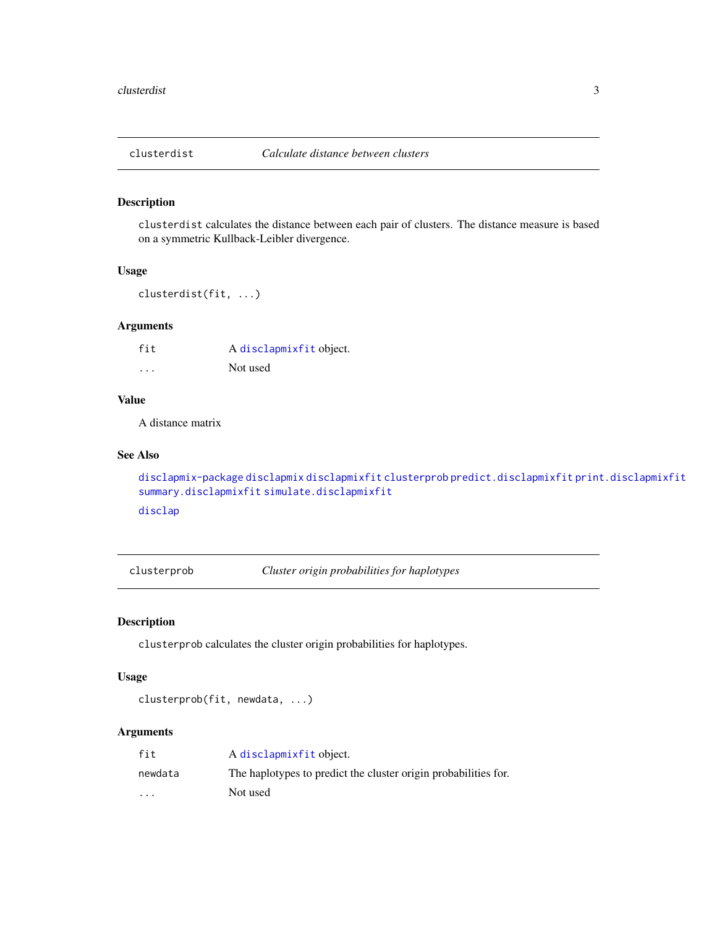<span id="page-2-2"></span><span id="page-2-0"></span>

#### Description

clusterdist calculates the distance between each pair of clusters. The distance measure is based on a symmetric Kullback-Leibler divergence.

#### Usage

```
clusterdist(fit, ...)
```
#### Arguments

| fit      | A disclapmixfit object. |
|----------|-------------------------|
| $\cdots$ | Not used                |

#### Value

A distance matrix

#### See Also

```
disclapmix-package disclapmix disclapmixfit clusterprob predict.disclapmixfit print.disclapmixfit
summary.disclapmixfit simulate.disclapmixfit
disclap
```
<span id="page-2-1"></span>clusterprob *Cluster origin probabilities for haplotypes*

#### Description

clusterprob calculates the cluster origin probabilities for haplotypes.

#### Usage

```
clusterprob(fit, newdata, ...)
```
#### Arguments

| fit      | A disclapmixfit object.                                         |
|----------|-----------------------------------------------------------------|
| newdata  | The haplotypes to predict the cluster origin probabilities for. |
| $\cdots$ | Not used                                                        |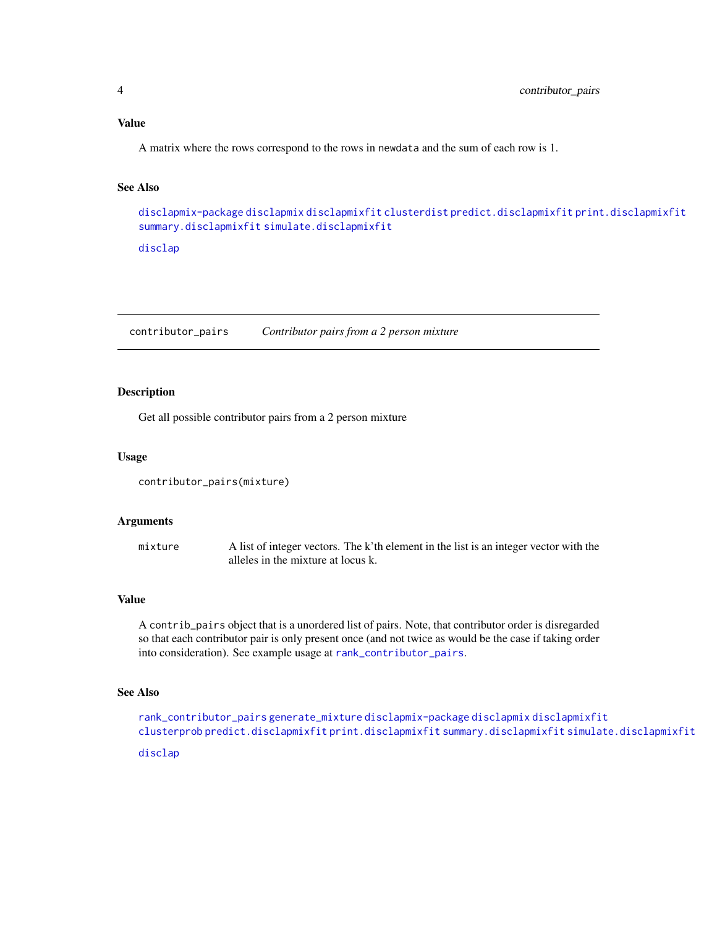#### <span id="page-3-0"></span>Value

A matrix where the rows correspond to the rows in newdata and the sum of each row is 1.

#### See Also

```
disclapmix-package disclapmix disclapmixfit clusterdist predict.disclapmixfit print.disclapmixfit
summary.disclapmixfit simulate.disclapmixfit
```
[disclap](#page-0-0)

<span id="page-3-1"></span>contributor\_pairs *Contributor pairs from a 2 person mixture*

#### **Description**

Get all possible contributor pairs from a 2 person mixture

#### Usage

```
contributor_pairs(mixture)
```
#### Arguments

mixture A list of integer vectors. The k'th element in the list is an integer vector with the alleles in the mixture at locus k.

#### Value

A contrib\_pairs object that is a unordered list of pairs. Note, that contributor order is disregarded so that each contributor pair is only present once (and not twice as would be the case if taking order into consideration). See example usage at [rank\\_contributor\\_pairs](#page-14-1).

#### See Also

```
rank_contributor_pairs generate_mixture disclapmix-package disclapmix disclapmixfit
clusterprob predict.disclapmixfit print.disclapmixfit summary.disclapmixfit simulate.disclapmixfit
```
[disclap](#page-0-0)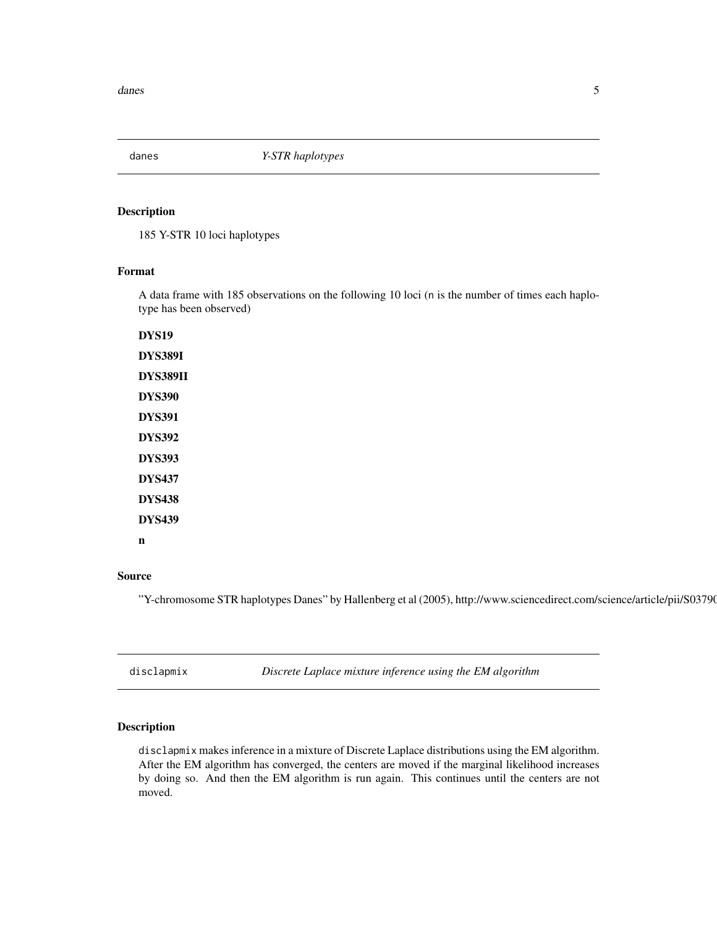<span id="page-4-0"></span>

#### Description

185 Y-STR 10 loci haplotypes

#### Format

A data frame with 185 observations on the following 10 loci (n is the number of times each haplotype has been observed)

DYS19 DYS389I DYS389II DYS390 DYS391 DYS392 DYS393 DYS437 DYS438 DYS439 n

#### Source

"Y-chromosome STR haplotypes Danes" by Hallenberg et al (2005), http://www.sciencedirect.com/science/article/pii/S03790

<span id="page-4-2"></span>disclapmix *Discrete Laplace mixture inference using the EM algorithm*

#### <span id="page-4-1"></span>Description

disclapmix makes inference in a mixture of Discrete Laplace distributions using the EM algorithm. After the EM algorithm has converged, the centers are moved if the marginal likelihood increases by doing so. And then the EM algorithm is run again. This continues until the centers are not moved.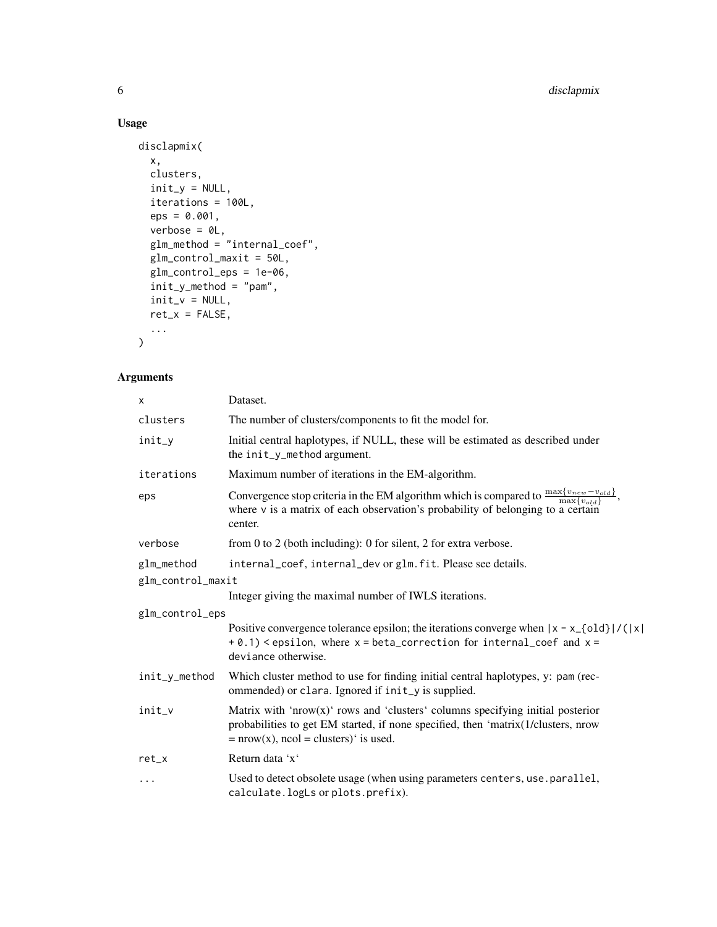#### Usage

```
disclapmix(
  x,
  clusters,
  init_y = NULL,iterations = 100L,
  eps = 0.001,
  verbose = 0L,
  glm_method = "internal_coef",
  glm_control_maxit = 50L,
  glm_control_eps = 1e-06,
  init_y_method = "pam",
  init_v = NULL,
  ret_x = FALSE,...
\mathcal{L}
```
#### Arguments

| X                 | Dataset.                                                                                                                                                                                                                   |
|-------------------|----------------------------------------------------------------------------------------------------------------------------------------------------------------------------------------------------------------------------|
| clusters          | The number of clusters/components to fit the model for.                                                                                                                                                                    |
| $init_y$          | Initial central haplotypes, if NULL, these will be estimated as described under<br>the init_y_method argument.                                                                                                             |
| iterations        | Maximum number of iterations in the EM-algorithm.                                                                                                                                                                          |
| eps               | Convergence stop criteria in the EM algorithm which is compared to $\frac{\max\{v_{new} - v_{old}\}}{\max\{v_{old}\}}$ ,<br>where $\nu$ is a matrix of each observation's probability of belonging to a certain<br>center. |
| verbose           | from 0 to 2 (both including): 0 for silent, 2 for extra verbose.                                                                                                                                                           |
| glm_method        | internal_coef, internal_dev or glm. fit. Please see details.                                                                                                                                                               |
| glm_control_maxit |                                                                                                                                                                                                                            |
|                   | Integer giving the maximal number of IWLS iterations.                                                                                                                                                                      |
| glm_control_eps   |                                                                                                                                                                                                                            |
|                   | Positive convergence tolerance epsilon; the iterations converge when $ x - x_{-}[\text{old}] / ( x )$<br>$+ 0.1$ ) < epsilon, where $x = beta_c$ correction for internal_coef and $x =$<br>deviance otherwise.             |
| init_y_method     | Which cluster method to use for finding initial central haplotypes, y: pam (rec-<br>ommended) or clara. Ignored if init_y is supplied.                                                                                     |
| init_v            | Matrix with 'nrow(x)' rows and 'clusters' columns specifying initial posterior<br>probabilities to get EM started, if none specified, then 'matrix(1/clusters, nrow<br>$= nrow(x)$ , ncol = clusters)' is used.            |
| $ret_x$           | Return data 'x'                                                                                                                                                                                                            |
| $\cdots$          | Used to detect obsolete usage (when using parameters centers, use.parallel,<br>calculate.logLs or plots.prefix).                                                                                                           |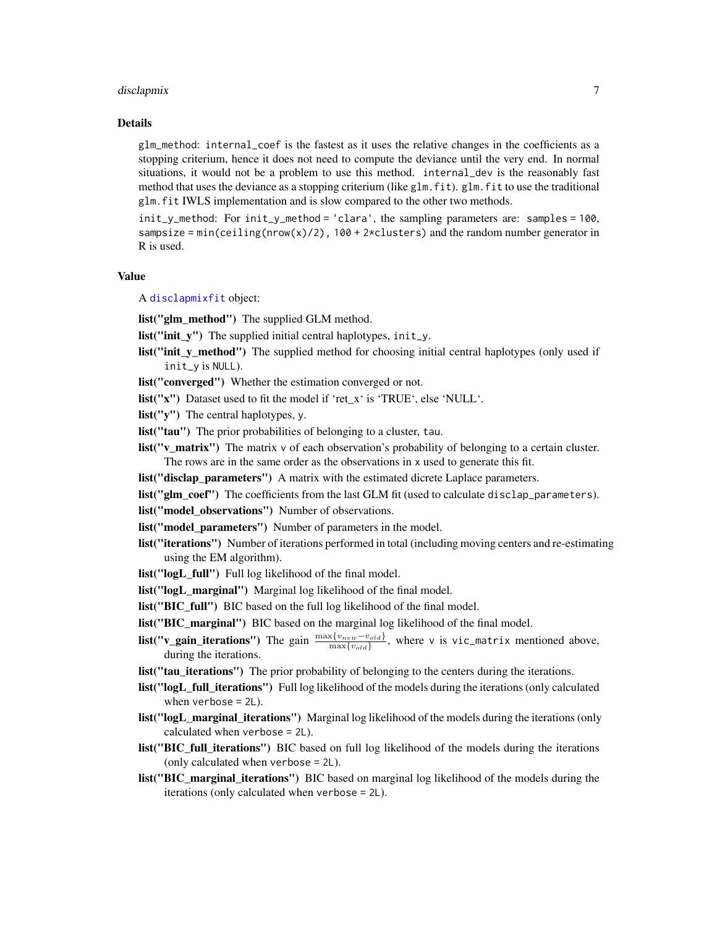#### <span id="page-6-0"></span>disclapmix **7**

#### Details

glm\_method: internal\_coef is the fastest as it uses the relative changes in the coefficients as a stopping criterium, hence it does not need to compute the deviance until the very end. In normal situations, it would not be a problem to use this method. internal\_dev is the reasonably fast method that uses the deviance as a stopping criterium (like glm.fit). glm.fit to use the traditional glm.fit IWLS implementation and is slow compared to the other two methods.

init\_y\_method: For init\_y\_method = 'clara', the sampling parameters are: samples = 100, sampsize = min(ceiling(nrow(x)/2),  $100 + 2 \times$ clusters) and the random number generator in R is used.

#### Value

A [disclapmixfit](#page-4-1) object:

list("glm\_method") The supplied GLM method.

- **list**("**init\_y**") The supplied initial central haplotypes, init\_y.
- list("init y method") The supplied method for choosing initial central haplotypes (only used if init\_y is NULL).
- list("converged") Whether the estimation converged or not.
- list("x") Dataset used to fit the model if 'ret\_x' is 'TRUE', else 'NULL'.
- list("y") The central haplotypes, y.
- list("tau") The prior probabilities of belonging to a cluster, tau.
- **list("v\_matrix")** The matrix v of each observation's probability of belonging to a certain cluster. The rows are in the same order as the observations in x used to generate this fit.
- list("disclap\_parameters") A matrix with the estimated dicrete Laplace parameters.
- list("glm\_coef") The coefficients from the last GLM fit (used to calculate disclap\_parameters).

list("model\_observations") Number of observations.

- list("model\_parameters") Number of parameters in the model.
- list("iterations") Number of iterations performed in total (including moving centers and re-estimating using the EM algorithm).
- list("logL\_full") Full log likelihood of the final model.
- list("logL\_marginal") Marginal log likelihood of the final model.
- list("BIC\_full") BIC based on the full log likelihood of the final model.
- list("BIC\_marginal") BIC based on the marginal log likelihood of the final model.
- **list("v\_gain\_iterations")** The gain  $\frac{\max\{v_{new}-v_{old}\}}{\max\{v_{old}\}}$ , where v is vic\_matrix mentioned above, during the iterations.
- list("tau\_iterations") The prior probability of belonging to the centers during the iterations.
- list("logL\_full\_iterations") Full log likelihood of the models during the iterations (only calculated when verbose = 2L).
- list("logL\_marginal\_iterations") Marginal log likelihood of the models during the iterations (only calculated when verbose = 2L).
- list("BIC\_full\_iterations") BIC based on full log likelihood of the models during the iterations (only calculated when verbose = 2L).
- list("BIC\_marginal\_iterations") BIC based on marginal log likelihood of the models during the iterations (only calculated when verbose = 2L).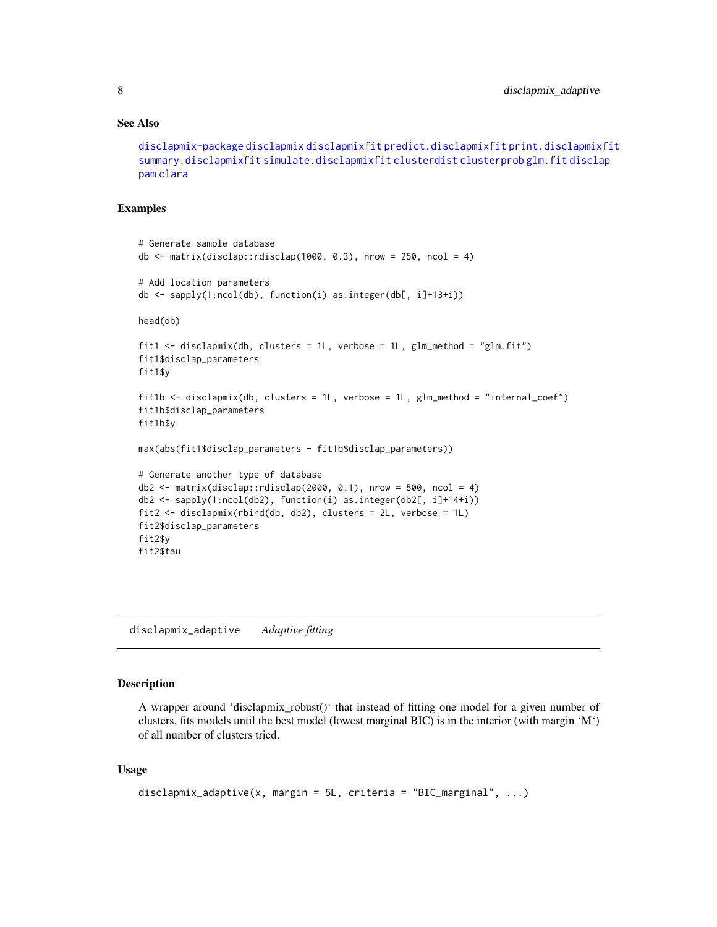#### See Also

```
disclapmix-package disclapmix disclapmixfit predict.disclapmixfit print.disclapmixfit
summary.disclapmixfit simulate.disclapmixfit clusterdist clusterprob glm.fit disclap
pam clara
```
#### Examples

```
# Generate sample database
db \le matrix(disclap::rdisclap(1000, 0.3), nrow = 250, ncol = 4)
# Add location parameters
db <- sapply(1:ncol(db), function(i) as.integer(db[, i]+13+i))
head(db)
fit1 <- disclapmix(db, clusters = 1L, verbose = 1L, glm_method = "glm.fit")
fit1$disclap_parameters
fit1$y
fit1b <- disclapmix(db, clusters = 1L, verbose = 1L, glm_method = "internal_coef")
fit1b$disclap_parameters
fit1b$y
max(abs(fit1$disclap_parameters - fit1b$disclap_parameters))
# Generate another type of database
db2 \leq -\text{matrix}(disclap::rdisclap(2000, 0.1), nrow = 500, ncol = 4)db2 <- sapply(1:ncol(db2), function(i) as.integer(db2[, i]+14+i))
fit2 <- disclapmix(rbind(db, db2), clusters = 2L, verbose = 1L)
fit2$disclap_parameters
fit2$y
fit2$tau
```
<span id="page-7-1"></span>disclapmix\_adaptive *Adaptive fitting*

#### **Description**

A wrapper around 'disclapmix\_robust()' that instead of fitting one model for a given number of clusters, fits models until the best model (lowest marginal BIC) is in the interior (with margin 'M') of all number of clusters tried.

#### Usage

```
disclapmix_adaptive(x, margin = 5L, criteria = "BIC_marginal", ...)
```
<span id="page-7-0"></span>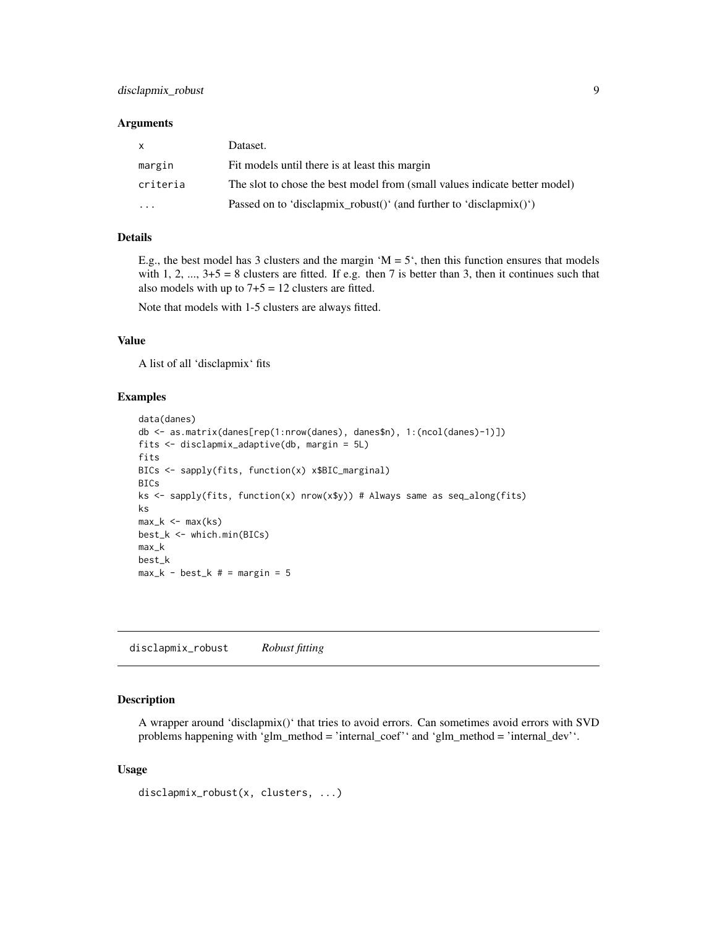#### <span id="page-8-0"></span>disclapmix\_robust 9

#### **Arguments**

| $\mathsf{x}$            | Dataset.                                                                   |
|-------------------------|----------------------------------------------------------------------------|
| margin                  | Fit models until there is at least this margin                             |
| criteria                | The slot to chose the best model from (small values indicate better model) |
| $\cdot$ $\cdot$ $\cdot$ | Passed on to 'disclapmix robust()' (and further to 'disclapmix()')         |

#### Details

E.g., the best model has 3 clusters and the margin  $^{\circ}M = 5^{\circ}$ , then this function ensures that models with 1, 2, ...,  $3+5 = 8$  clusters are fitted. If e.g. then 7 is better than 3, then it continues such that also models with up to  $7+5 = 12$  clusters are fitted.

Note that models with 1-5 clusters are always fitted.

#### Value

A list of all 'disclapmix' fits

#### Examples

```
data(danes)
db <- as.matrix(danes[rep(1:nrow(danes), danes$n), 1:(ncol(danes)-1)])
fits <- disclapmix_adaptive(db, margin = 5L)
fits
BICs <- sapply(fits, function(x) x$BIC_marginal)
BICs
ks <- sapply(fits, function(x) nrow(x$y)) # Always same as seq_along(fits)
ks
max_k < - max(ks)
best_k <- which.min(BICs)
max_k
best_k
max_k - best_k # = margin = 5
```
disclapmix\_robust *Robust fitting*

#### Description

A wrapper around 'disclapmix()' that tries to avoid errors. Can sometimes avoid errors with SVD problems happening with 'glm\_method = 'internal\_coef'' and 'glm\_method = 'internal\_dev''.

#### Usage

```
disclapmix_robust(x, clusters, ...)
```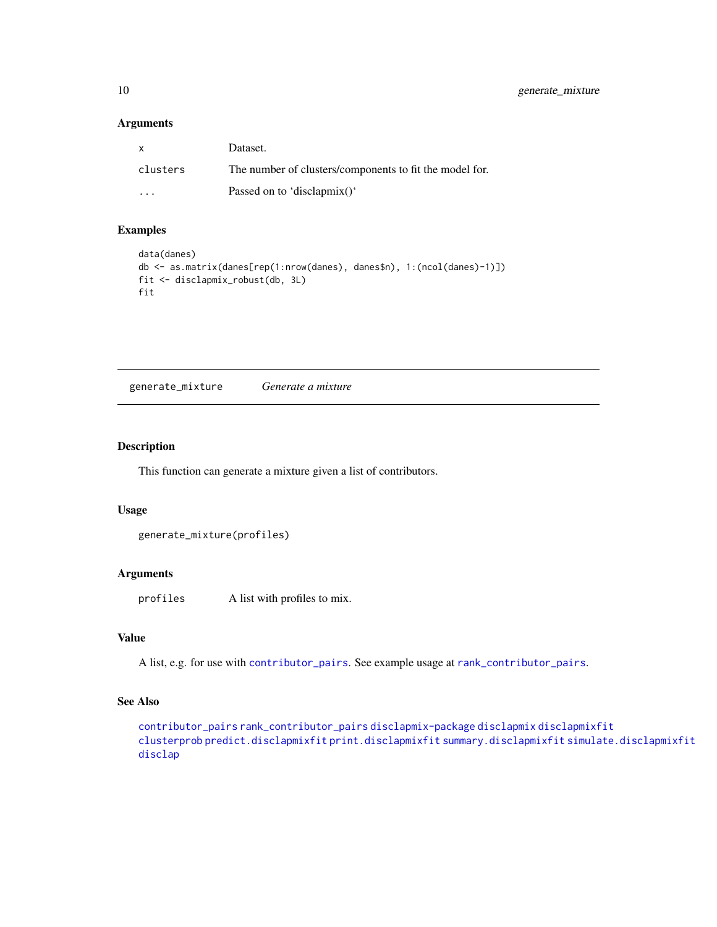#### Arguments

| $\mathsf{X}$            | Dataset.                                                |
|-------------------------|---------------------------------------------------------|
| clusters                | The number of clusters/components to fit the model for. |
| $\cdot$ $\cdot$ $\cdot$ | Passed on to 'disclapmix()'                             |

#### Examples

```
data(danes)
db <- as.matrix(danes[rep(1:nrow(danes), danes$n), 1:(ncol(danes)-1)])
fit <- disclapmix_robust(db, 3L)
fit
```
<span id="page-9-1"></span>generate\_mixture *Generate a mixture*

#### Description

This function can generate a mixture given a list of contributors.

#### Usage

```
generate_mixture(profiles)
```
#### Arguments

profiles A list with profiles to mix.

#### Value

A list, e.g. for use with [contributor\\_pairs](#page-3-1). See example usage at [rank\\_contributor\\_pairs](#page-14-1).

#### See Also

[contributor\\_pairs](#page-3-1) [rank\\_contributor\\_pairs](#page-14-1) [disclapmix-package](#page-1-1) [disclapmix](#page-4-2) [disclapmixfit](#page-4-1) [clusterprob](#page-2-1) [predict.disclapmixfit](#page-12-1) [print.disclapmixfit](#page-13-1) [summary.disclapmixfit](#page-16-1) [simulate.disclapmixfit](#page-15-1) [disclap](#page-0-0)

<span id="page-9-0"></span>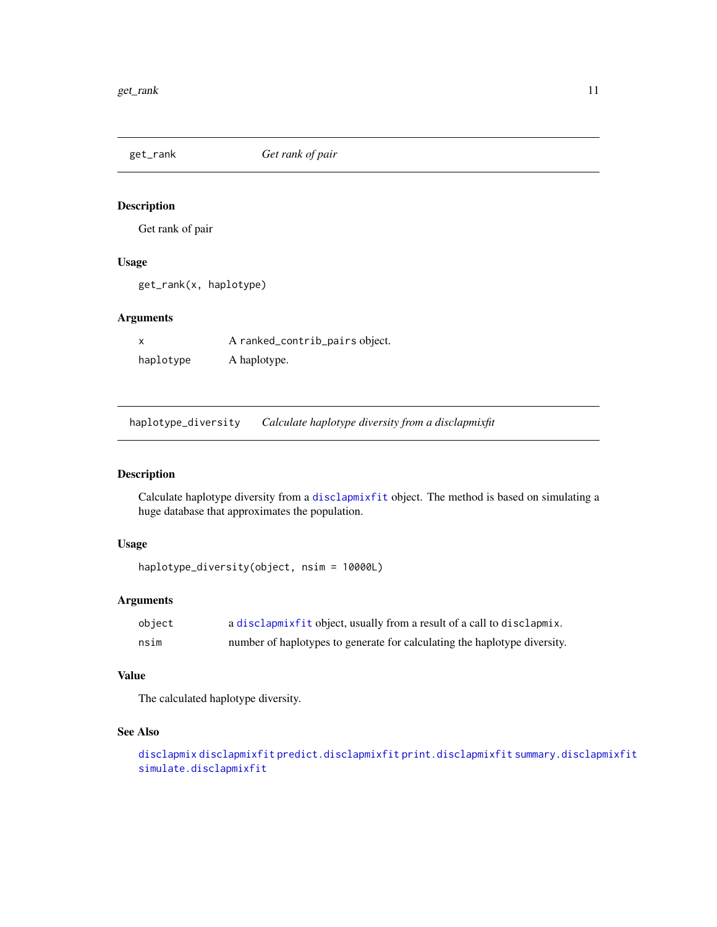<span id="page-10-0"></span>get\_rank *Get rank of pair*

#### Description

Get rank of pair

#### Usage

get\_rank(x, haplotype)

#### Arguments

|           | A ranked_contrib_pairs object. |
|-----------|--------------------------------|
| haplotype | A haplotype.                   |

haplotype\_diversity *Calculate haplotype diversity from a disclapmixfit*

#### Description

Calculate haplotype diversity from a [disclapmixfit](#page-4-1) object. The method is based on simulating a huge database that approximates the population.

#### Usage

```
haplotype_diversity(object, nsim = 10000L)
```
#### Arguments

| object | a disclapmixfit object, usually from a result of a call to disclapmix.    |
|--------|---------------------------------------------------------------------------|
| nsim   | number of haplotypes to generate for calculating the haplotype diversity. |

#### Value

The calculated haplotype diversity.

#### See Also

```
disclapmix disclapmixfit predict.disclapmixfit print.disclapmixfit summary.disclapmixfit
simulate.disclapmixfit
```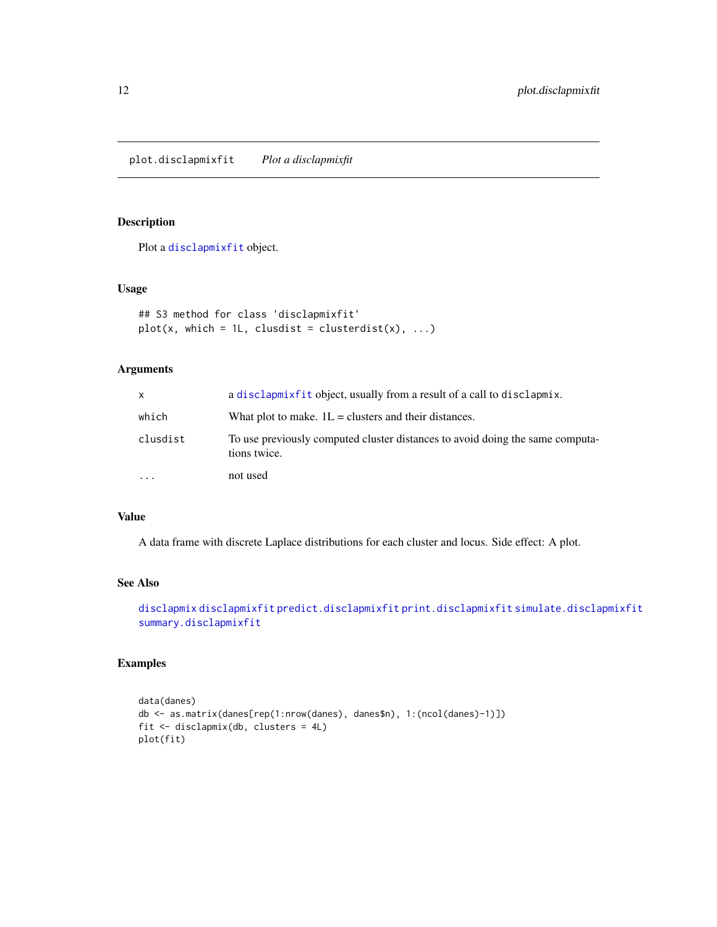<span id="page-11-1"></span><span id="page-11-0"></span>plot.disclapmixfit *Plot a disclapmixfit*

### Description

Plot a [disclapmixfit](#page-4-1) object.

#### Usage

```
## S3 method for class 'disclapmixfit'
plot(x, which = 1L, clusdist = clusterdist(x), ...)
```
#### Arguments

| x        | a disclarmixfit object, usually from a result of a call to disclarmix.                        |
|----------|-----------------------------------------------------------------------------------------------|
| which    | What plot to make. $1L =$ clusters and their distances.                                       |
| clusdist | To use previously computed cluster distances to avoid doing the same computa-<br>tions twice. |
| $\cdots$ | not used                                                                                      |

#### Value

A data frame with discrete Laplace distributions for each cluster and locus. Side effect: A plot.

#### See Also

```
disclapmix disclapmixfit predict.disclapmixfit print.disclapmixfit simulate.disclapmixfit
summary.disclapmixfit
```
#### Examples

```
data(danes)
db <- as.matrix(danes[rep(1:nrow(danes), danes$n), 1:(ncol(danes)-1)])
fit <- disclapmix(db, clusters = 4L)
plot(fit)
```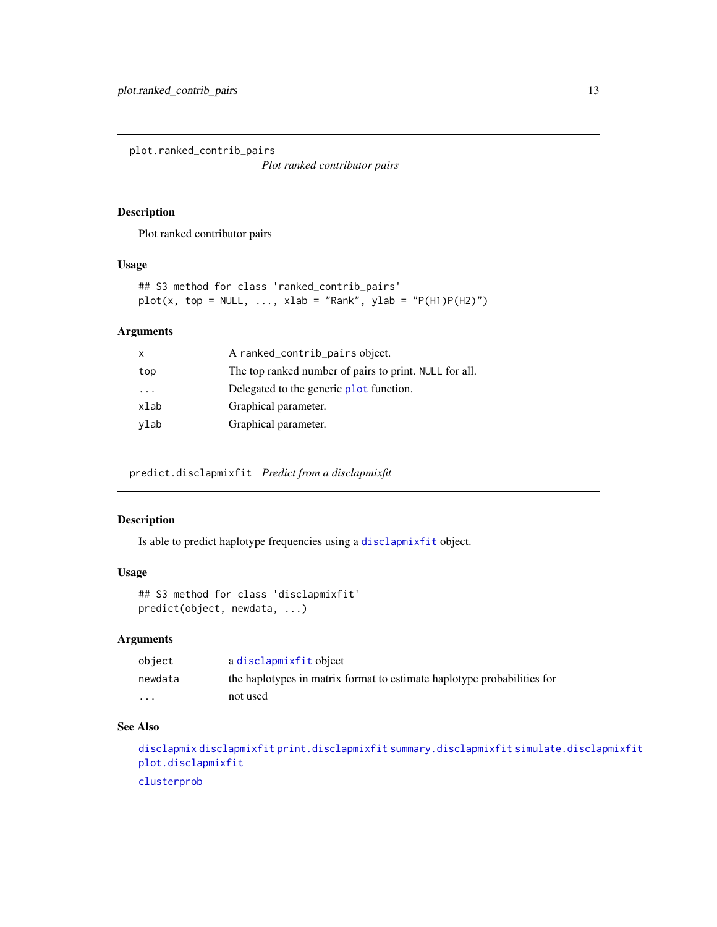<span id="page-12-0"></span>plot.ranked\_contrib\_pairs

*Plot ranked contributor pairs*

#### Description

Plot ranked contributor pairs

#### Usage

```
## S3 method for class 'ranked_contrib_pairs'
plot(x, top = NULL, ..., xlab = "Rank", ylab = "P(H1)P(H2)")
```
#### Arguments

| The top ranked number of pairs to print. NULL for all. |
|--------------------------------------------------------|
|                                                        |
|                                                        |
|                                                        |
|                                                        |

<span id="page-12-1"></span>predict.disclapmixfit *Predict from a disclapmixfit*

#### Description

Is able to predict haplotype frequencies using a [disclapmixfit](#page-4-1) object.

#### Usage

```
## S3 method for class 'disclapmixfit'
predict(object, newdata, ...)
```
#### Arguments

| obiect                  | a disclapmixfit object                                                  |
|-------------------------|-------------------------------------------------------------------------|
| newdata                 | the haplotypes in matrix format to estimate haplotype probabilities for |
| $\cdot$ $\cdot$ $\cdot$ | not used                                                                |

#### See Also

```
disclapmix disclapmixfit print.disclapmixfit summary.disclapmixfit simulate.disclapmixfit
plot.disclapmixfit
clusterprob
```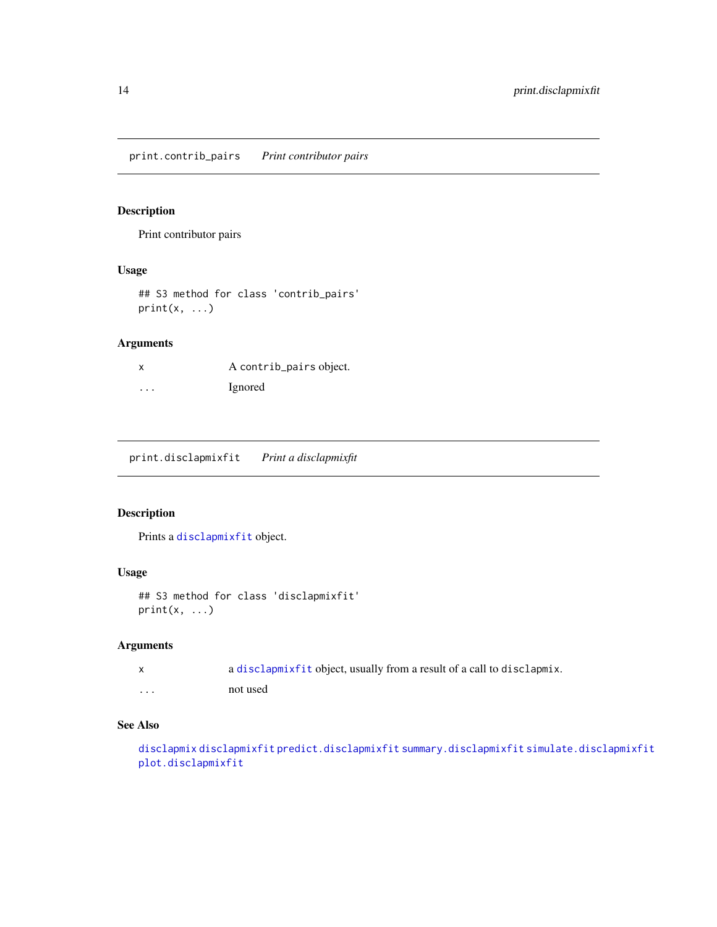<span id="page-13-0"></span>print.contrib\_pairs *Print contributor pairs*

#### Description

Print contributor pairs

#### Usage

## S3 method for class 'contrib\_pairs'  $print(x, \ldots)$ 

#### Arguments

| X        | A contrib_pairs object. |
|----------|-------------------------|
| $\cdots$ | Ignored                 |

<span id="page-13-1"></span>print.disclapmixfit *Print a disclapmixfit*

#### Description

Prints a [disclapmixfit](#page-4-1) object.

#### Usage

```
## S3 method for class 'disclapmixfit'
print(x, \ldots)
```
#### Arguments

|   | a disclapmix fit object, usually from a result of a call to disclapmix. |
|---|-------------------------------------------------------------------------|
| . | not used                                                                |

#### See Also

[disclapmix](#page-4-2) [disclapmixfit](#page-4-1) [predict.disclapmixfit](#page-12-1) [summary.disclapmixfit](#page-16-1) [simulate.disclapmixfit](#page-15-1) [plot.disclapmixfit](#page-11-1)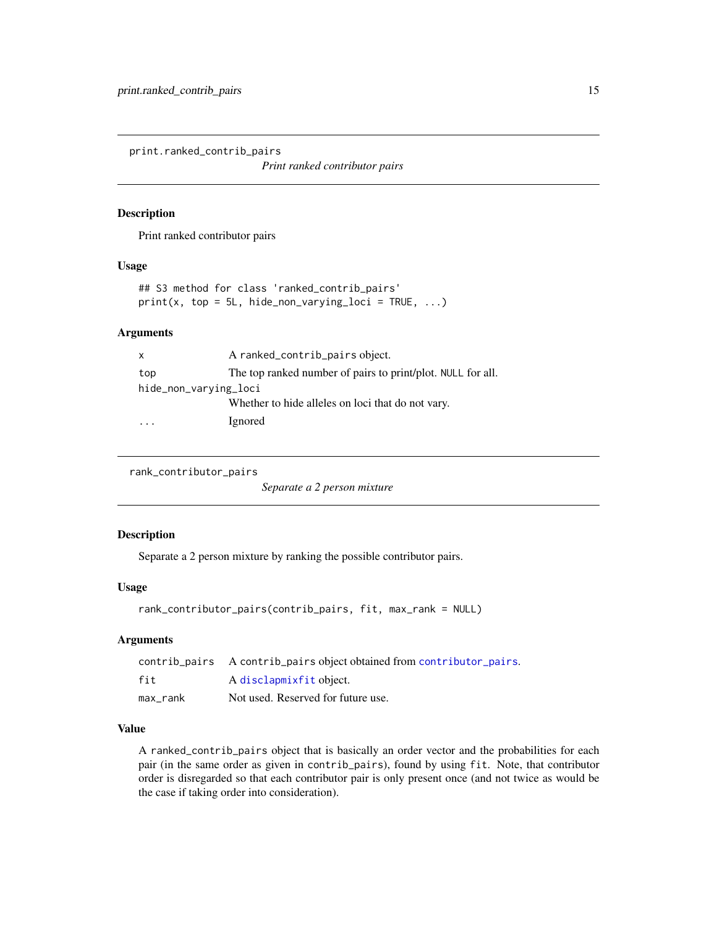<span id="page-14-0"></span>print.ranked\_contrib\_pairs

*Print ranked contributor pairs*

#### Description

Print ranked contributor pairs

#### Usage

```
## S3 method for class 'ranked_contrib_pairs'
print(x, top = 5L, hide\_non\_varying\_loci = TRUE, ...)
```
#### **Arguments**

| $\mathsf{x}$          | A ranked_contrib_pairs object.                              |  |
|-----------------------|-------------------------------------------------------------|--|
| top                   | The top ranked number of pairs to print/plot. NULL for all. |  |
| hide_non_varying_loci |                                                             |  |
|                       | Whether to hide alleles on loci that do not vary.           |  |
|                       | Ignored                                                     |  |

```
rank_contributor_pairs
```
*Separate a 2 person mixture*

#### Description

Separate a 2 person mixture by ranking the possible contributor pairs.

#### Usage

```
rank_contributor_pairs(contrib_pairs, fit, max_rank = NULL)
```
#### Arguments

|          | contrib_pairs A contrib_pairs object obtained from contributor_pairs. |
|----------|-----------------------------------------------------------------------|
| fit      | A disclapmixfit object.                                               |
| max rank | Not used. Reserved for future use.                                    |

#### Value

A ranked\_contrib\_pairs object that is basically an order vector and the probabilities for each pair (in the same order as given in contrib\_pairs), found by using fit. Note, that contributor order is disregarded so that each contributor pair is only present once (and not twice as would be the case if taking order into consideration).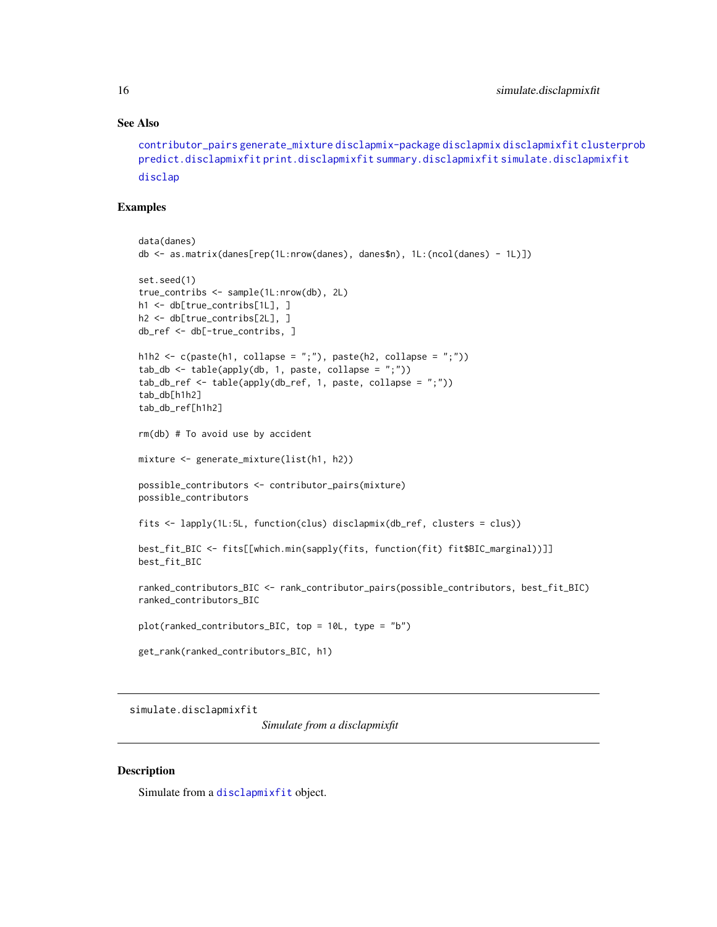#### See Also

```
contributor_pairs generate_mixture disclapmix-package disclapmix disclapmixfit clusterprob
predict.disclapmixfit print.disclapmixfit summary.disclapmixfit simulate.disclapmixfit
disclap
```
#### Examples

```
data(danes)
db <- as.matrix(danes[rep(1L:nrow(danes), danes$n), 1L:(ncol(danes) - 1L)])
set.seed(1)
true_contribs <- sample(1L:nrow(db), 2L)
h1 <- db[true_contribs[1L], ]
h2 <- db[true_contribs[2L], ]
db_ref <- db[-true_contribs, ]
h1h2 \leq c(paste(h1, collapse = ";"), paste(h2, collapse = ";"))
tab_db \leftarrow table(apply(db, 1, paste, collapse = ";"))tab_db_ref <- table(apply(db_ref, 1, paste, collapse = ";"))
tab_db[h1h2]
tab_db_ref[h1h2]
rm(db) # To avoid use by accident
mixture <- generate_mixture(list(h1, h2))
possible_contributors <- contributor_pairs(mixture)
possible_contributors
fits <- lapply(1L:5L, function(clus) disclapmix(db_ref, clusters = clus))
best_fit_BIC <- fits[[which.min(sapply(fits, function(fit) fit$BIC_marginal))]]
best_fit_BIC
ranked_contributors_BIC <- rank_contributor_pairs(possible_contributors, best_fit_BIC)
ranked_contributors_BIC
plot(ranked_contributors_BIC, top = 10L, type = "b")
get_rank(ranked_contributors_BIC, h1)
```
<span id="page-15-1"></span>simulate.disclapmixfit

*Simulate from a disclapmixfit*

#### Description

Simulate from a [disclapmixfit](#page-4-1) object.

<span id="page-15-0"></span>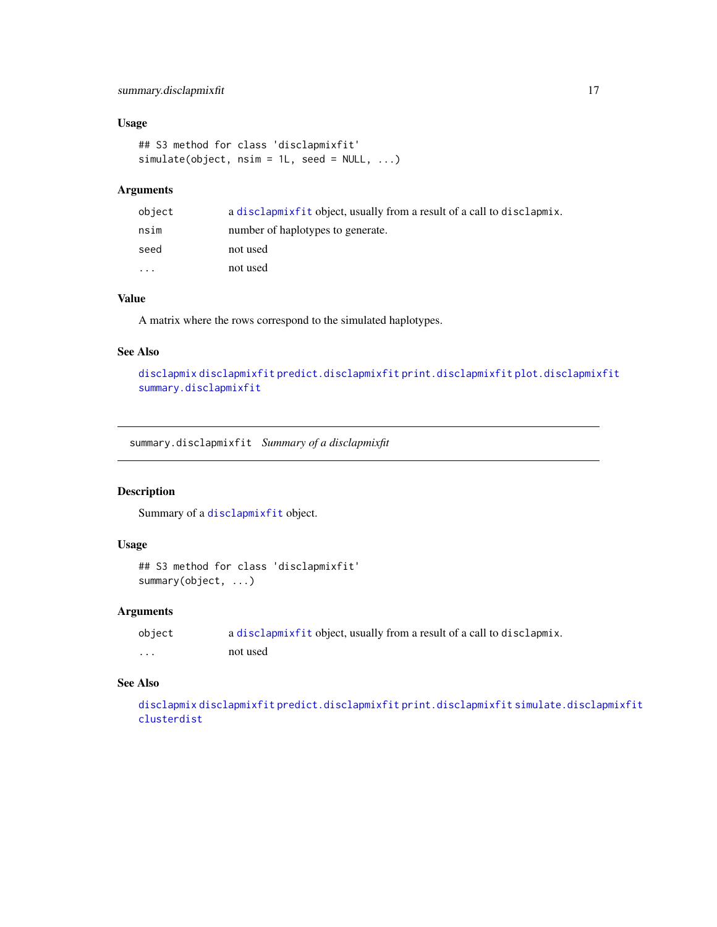#### <span id="page-16-0"></span>summary.disclapmixfit 17

#### Usage

```
## S3 method for class 'disclapmixfit'
simulate(object, nsim = 1L, seed = NULL, ...)
```
#### Arguments

| object    | a disclapmix fit object, usually from a result of a call to disclapmix. |
|-----------|-------------------------------------------------------------------------|
| nsim      | number of haplotypes to generate.                                       |
| seed      | not used                                                                |
| $\ddotsc$ | not used                                                                |

#### Value

A matrix where the rows correspond to the simulated haplotypes.

#### See Also

[disclapmix](#page-4-2) [disclapmixfit](#page-4-1) [predict.disclapmixfit](#page-12-1) [print.disclapmixfit](#page-13-1) [plot.disclapmixfit](#page-11-1) [summary.disclapmixfit](#page-16-1)

<span id="page-16-1"></span>summary.disclapmixfit *Summary of a disclapmixfit*

#### Description

Summary of a [disclapmixfit](#page-4-1) object.

#### Usage

```
## S3 method for class 'disclapmixfit'
summary(object, ...)
```
#### Arguments

```
object a disclapmixfit object, usually from a result of a call to disclapmix.
... not used
```
#### See Also

[disclapmix](#page-4-2) [disclapmixfit](#page-4-1) [predict.disclapmixfit](#page-12-1) [print.disclapmixfit](#page-13-1) [simulate.disclapmixfit](#page-15-1) [clusterdist](#page-2-2)